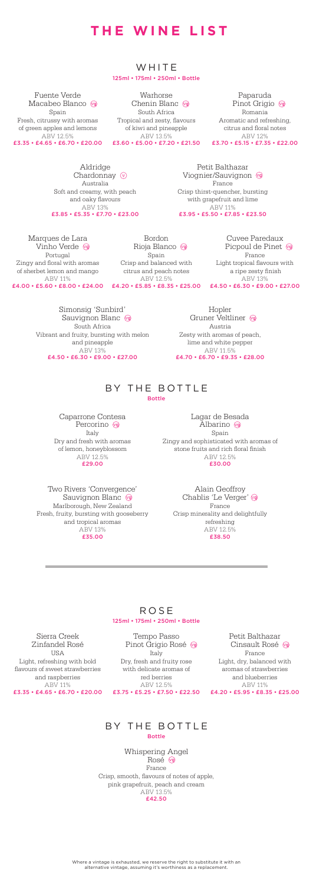## **THE WINE LIST**

#### WHITE 125ml • 175ml • 250ml • Bottle

Warhorse<br>Chenin Blanc South Africa Tropical and zesty, flavours of kiwi and pineapple ABV 13.5%

Paparuda<br>Pinot Grigio Romania Aromatic and refreshing, citrus and floral notes ABV 12%

Fuente Verde<br>Macabeo Blanco Spain Fresh, citrussy with aromas of green apples and lemons ABV 12.5% £3.35 • £4.65 • £6.70 • £20.00 £3.60 • £5.00 • £7.20 • £21.50 £3.70 • £5.15 • £7.35 • £22.00

> **ROSE** 125ml • 175ml • 250ml • Bottle

## BY THE BOTTLE Bottle

Aldridge Chardonnay  $\circledcirc$ Australia Soft and creamy, with peach and oaky flavours ABV 13% £3.85 • £5.35 • £7.70 • £23.00

Petit Balthazar Viognier/Sauvignon France Crisp thirst-quencher, bursting with grapefruit and lime ABV 11% £3.95 • £5.50 • £7.85 • £23.50

Where a vintage is exhausted, we reserve the right to substitute it with an alternative vintage, assuming it's worthiness as a replacement.

Marques de Lara Vinho Verde Portugal Zingy and floral with aromas of sherbet lemon and mango ABV 11%

Bordon Rioja Blanco Spain Crisp and balanced with citrus and peach notes ABV 12.5%

£4.00 • £5.60 • £8.00 • £24.00 £4.20 • £5.85 • £8.35 • £25.00 £4.50 • £6.30 • £9.00 • £27.00 Cuvee Paredaux Picpoul de Pinet France Light tropical flavours with a ripe zesty finish ABV 13%

Simonsig 'Sunbird' Sauvignon Blanc (vg) South Africa Vibrant and fruity, bursting with melon and pineapple ABV 13% £4.50 • £6.30 • £9.00 • £27.00

Hopler Gruner Veltliner Austria Zesty with aromas of peach, lime and white pepper ABV 11.5% £4.70 • £6.70 • £9.35 • £28.00

Caparrone Contesa Percorino <a> Italy Dry and fresh with aromas of lemon, honeyblossom ABV 12.5% £29.00

Lagar de Besada Albarino <a> Spain Zingy and sophisticated with aromas of stone fruits and rich floral finish ABV 12.5% £30.00

Two Rivers 'Convergence' Sauvignon Blanc Marlborough, New Zealand Fresh, fruity, bursting with gooseberry Crisp minerality and delightfully and tropical aromas ABV 13% £35.00

Alain Geoffroy Chablis 'Le Verger' vo France refreshing ABV 12.5% £38.50

Sierra Creek Zinfandel Rosé **USA** Light, refreshing with bold

flavours of sweet strawberries and raspberries ABV 11%

Tempo Passo Pinot Grigio Rosé Italy Dry, fresh and fruity rose

with delicate aromas of red berries ABV 12.5%

£3.35 • £4.65 • £6.70 • £20.00 £3.75 • £5.25 • £7.50 • £22.50 £4.20 • £5.95 • £8.35 • £25.00 Petit Balthazar Cinsault Rosé <a> France Light, dry, balanced with aromas of strawberries and blueberries ABV 11%

## BY THE BOTTLE

Bottle

Whispering Angel Rosé <sup>vg</sup> France Crisp, smooth, flavours of notes of apple, pink grapefruit, peach and cream ABV 13.5% £42.50